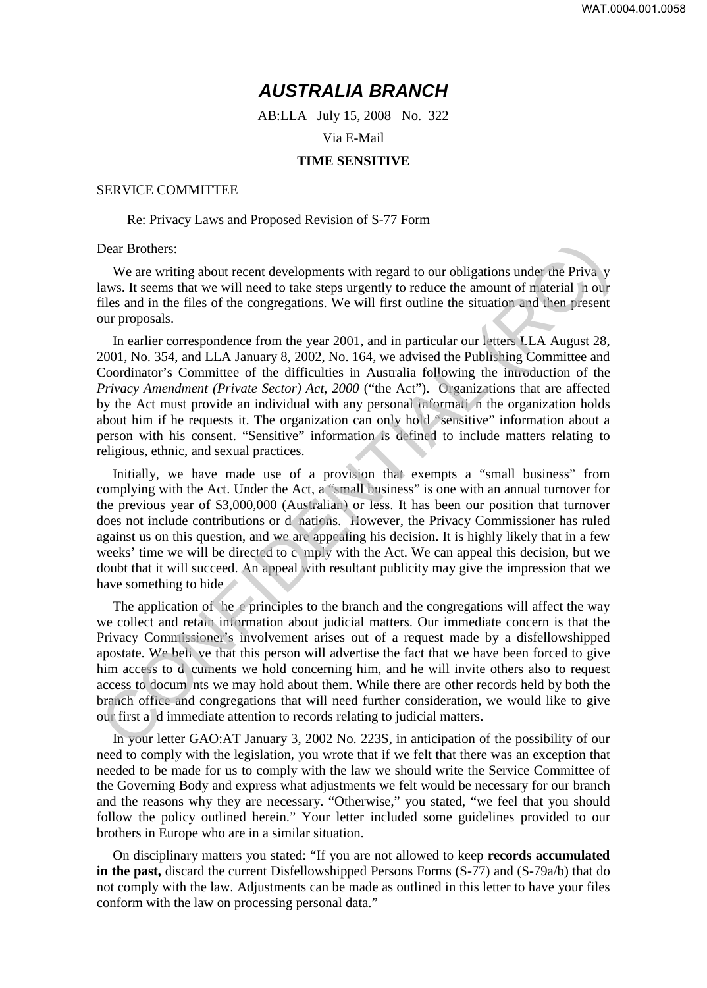# **AUSTRALIA BRANCH**

AB:LLA July 15, 2008 No. 322

Via E-Mail

## **TIME SENSITIVE**

#### SERVICE COMMITTEE

### Re: Privacy Laws and Proposed Revision of S-77 Form

## Dear Brothers:

We are writing about recent developments with regard to our obligations under the Priva y laws. It seems that we will need to take steps urgently to reduce the amount of material n our files and in the files of the congregations. We will first outline the situation and then present our proposals.

In earlier correspondence from the year 2001, and in particular our letters LLA August 28, 2001, No. 354, and LLA January 8, 2002, No. 164, we advised the Publishing Committee and Coordinator's Committee of the difficulties in Australia following the introduction of the *Privacy Amendment (Private Sector) Act, 2000* ("the Act"). Organizations that are affected by the Act must provide an individual with any personal informati n the organization holds about him if he requests it. The organization can only hold "sensitive" information about a person with his consent. "Sensitive" information is defined to include matters relating to religious, ethnic, and sexual practices.

Initially, we have made use of a provision that exempts a "small business" from complying with the Act. Under the Act, a "small business" is one with an annual turnover for the previous year of \$3,000,000 (Australian) or less. It has been our position that turnover does not include contributions or d nations. However, the Privacy Commissioner has ruled against us on this question, and we are appealing his decision. It is highly likely that in a few weeks' time we will be directed to c mply with the Act. We can appeal this decision, but we doubt that it will succeed. An appeal with resultant publicity may give the impression that we have something to hide

The application of he e principles to the branch and the congregations will affect the way we collect and retain information about judicial matters. Our immediate concern is that the Privacy Commissioner's involvement arises out of a request made by a disfellowshipped apostate. We beli ve that this person will advertise the fact that we have been forced to give him access to d cuments we hold concerning him, and he will invite others also to request access to docum nts we may hold about them. While there are other records held by both the branch office and congregations that will need further consideration, we would like to give our first a d immediate attention to records relating to judicial matters. Dear Brothers:<br>We are writing about recent developments with regard to our obligations under the Priva y<br>laws. It seems that we will need to take steps urgently to reduce the amount of naterial nour<br>files and in the files

In your letter GAO:AT January 3, 2002 No. 223S, in anticipation of the possibility of our need to comply with the legislation, you wrote that if we felt that there was an exception that needed to be made for us to comply with the law we should write the Service Committee of the Governing Body and express what adjustments we felt would be necessary for our branch and the reasons why they are necessary. "Otherwise," you stated, "we feel that you should follow the policy outlined herein." Your letter included some guidelines provided to our brothers in Europe who are in a similar situation.

On disciplinary matters you stated: "If you are not allowed to keep **records accumulated in the past,** discard the current Disfellowshipped Persons Forms (S-77) and (S-79a/b) that do not comply with the law. Adjustments can be made as outlined in this letter to have your files conform with the law on processing personal data."